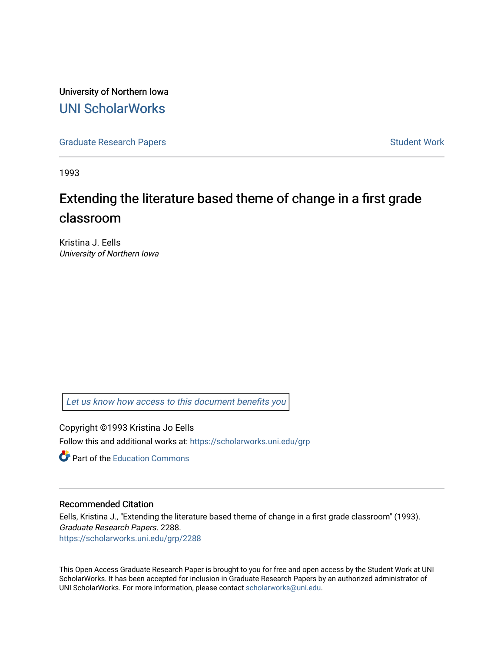University of Northern Iowa [UNI ScholarWorks](https://scholarworks.uni.edu/) 

[Graduate Research Papers](https://scholarworks.uni.edu/grp) **Student Work** Student Work

1993

# Extending the literature based theme of change in a first grade classroom

Kristina J. Eells University of Northern Iowa

[Let us know how access to this document benefits you](https://scholarworks.uni.edu/feedback_form.html) 

Copyright ©1993 Kristina Jo Eells Follow this and additional works at: [https://scholarworks.uni.edu/grp](https://scholarworks.uni.edu/grp?utm_source=scholarworks.uni.edu%2Fgrp%2F2288&utm_medium=PDF&utm_campaign=PDFCoverPages) 

**C** Part of the [Education Commons](http://network.bepress.com/hgg/discipline/784?utm_source=scholarworks.uni.edu%2Fgrp%2F2288&utm_medium=PDF&utm_campaign=PDFCoverPages)

## Recommended Citation

Eells, Kristina J., "Extending the literature based theme of change in a first grade classroom" (1993). Graduate Research Papers. 2288. [https://scholarworks.uni.edu/grp/2288](https://scholarworks.uni.edu/grp/2288?utm_source=scholarworks.uni.edu%2Fgrp%2F2288&utm_medium=PDF&utm_campaign=PDFCoverPages) 

This Open Access Graduate Research Paper is brought to you for free and open access by the Student Work at UNI ScholarWorks. It has been accepted for inclusion in Graduate Research Papers by an authorized administrator of UNI ScholarWorks. For more information, please contact [scholarworks@uni.edu.](mailto:scholarworks@uni.edu)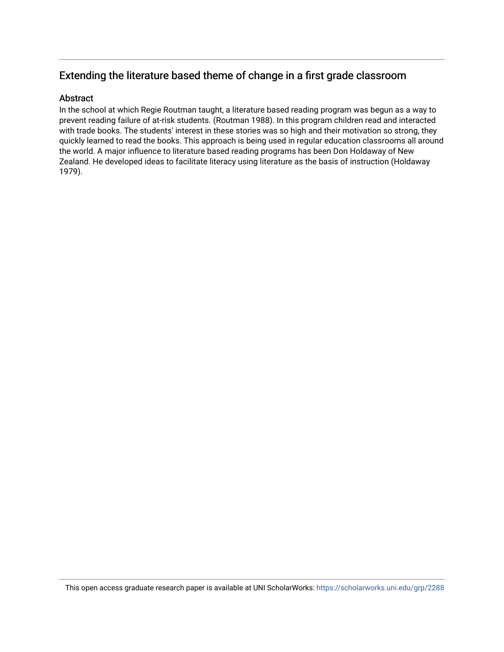## Extending the literature based theme of change in a first grade classroom

## **Abstract**

In the school at which Regie Routman taught, a literature based reading program was begun as a way to prevent reading failure of at-risk students. (Routman 1988). In this program children read and interacted with trade books. The students' interest in these stories was so high and their motivation so strong, they quickly learned to read the books. This approach is being used in regular education classrooms all around the world. A major influence to literature based reading programs has been Don Holdaway of New Zealand. He developed ideas to facilitate literacy using literature as the basis of instruction (Holdaway 1979).

This open access graduate research paper is available at UNI ScholarWorks: <https://scholarworks.uni.edu/grp/2288>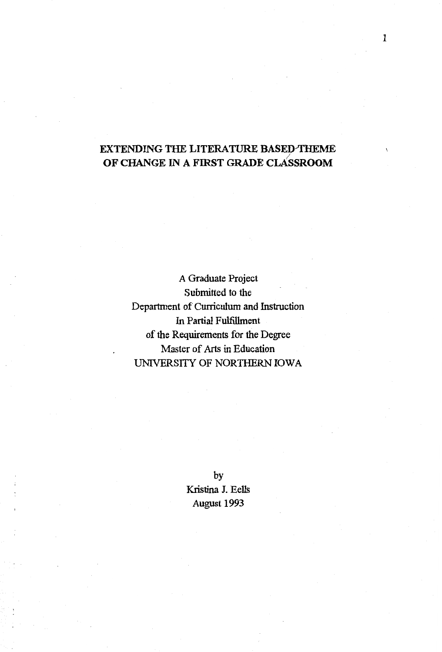## EXTENDING THE LITERATURE BASED-THEME OF CHANGE IN A FIRST GRADE CLASSROOM

A Graduate Project Submitted to the Department of Curriculum and Instruction In Partial Fulfillment of the Requirements for the Degree Master of Arts in Education UNIVERSITY OF NORTHERN IOWA

> by Kristina J. Eells August 1993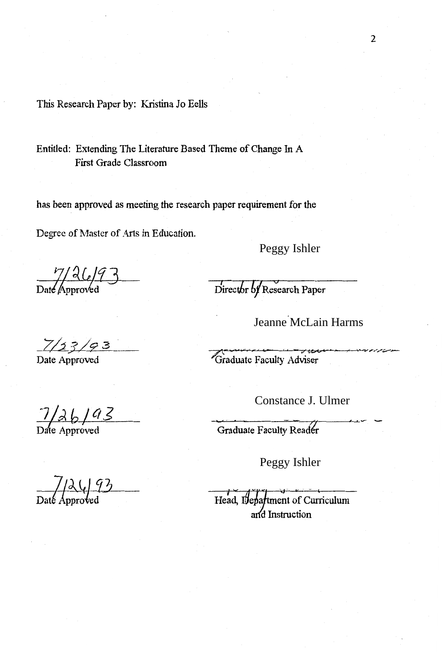This Research Paper by: Kristina Jo Eells

Entitled: Extending The Literature Based Theme of Change In A First Grade Classroom

has been approved as meeting the research paper requirement for the

Degree of Master of Arts in Education.

Peggy Ishler

 $\frac{7}{2}$ <br>Date Approved

Director of Research Paper

Jeanne McLain Harms<br>
Faculty Adviser<br>
Constance J. Ulmer<br>
Faculty Reader<br>
Peggy Ishler

Graduate Faculty Adviser

Head, Department of Curriculum<br>and Instruction

 $7/2$  G  $9$ <br>Date Approved

2

 $\frac{7}{2} \times 6$  /  $9 \le$ <br>Date Approved

*\_.7/4.3./9* <sup>3</sup>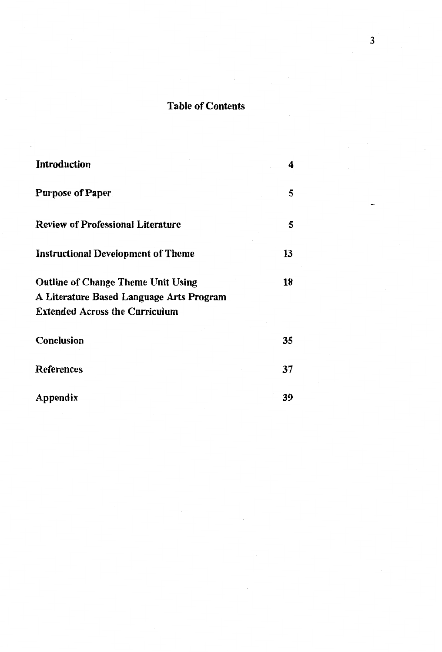## Table of Contents

| <b>Introduction</b>                                                 | 4      |
|---------------------------------------------------------------------|--------|
| <b>Purpose of Paper</b><br><b>Review of Professional Literature</b> | 5<br>5 |
|                                                                     |        |
| <b>Outline of Change Theme Unit Using</b>                           | 18     |
| A Literature Based Language Arts Program                            |        |
| <b>Extended Across the Curriculum</b>                               |        |
| Conclusion                                                          | 35     |
| References                                                          | 37     |
| Appendix                                                            | 39     |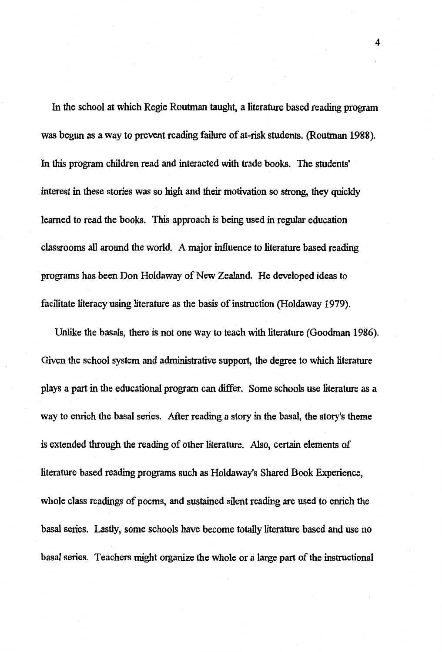In the school at which Regie Routman taught, a literature based reading program was begun as a way to prevent reading failure of at-risk students. (Routman 1988). In this program children read and interacted with trade books. The students' interest in these stories was so high and their motivation so strong, they quickly learned to read the books. This approach is being used in regular education classrooms all around the world. A major influence to literature based reading programs has been Don Holdaway of New Zealand. He developed ideas to facilitate literacy using literature as the basis of instruction (Holdaway 1979).

Unlike the basals, there is not one way to teach with literature (Goodman 1986). Given the school system and administrative support, the degree to which literature plays a part in the educational program can differ. Some schools use literature as a way to enrich the basal series. After reading a story in the basal, the story's theme is extended through the reading of other literature. Also, certain elements of literature based reading programs such as Holdaway's Shared Book Experience, whole class readings of poems, and sustained silent reading are used to enrich the basal series. Lastly, some schools have become totally literature based and use no basal series. Teachers might organize the whole or a large part of the instructional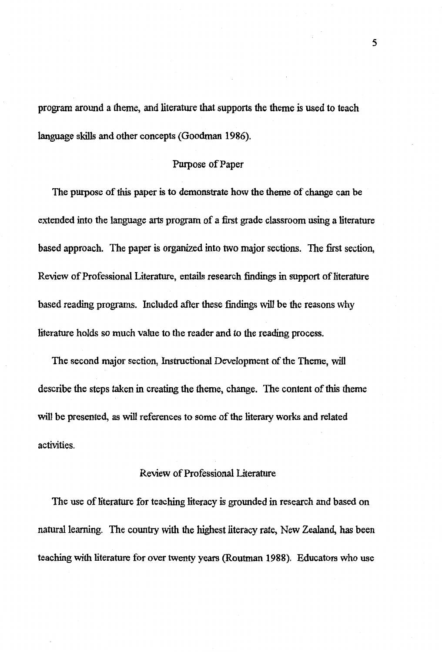program around a theme, and literature that supports the theme is used to teach language skills and other concepts (Goodman 1986).

## Purpose of Paper

The purpose of this paper is to demonstrate how the theme of change can be extended into the language arts program of a first grade classroom using a literature based approach. The paper is organized into two major sections. The first section, Review of Professional Literature, entails research findings in support of literature based reading programs. Included after these findings will be the reasons why literature holds so much value to the reader and to the reading process.

The second major section, Instructional Development of the Theme, will describe the steps taken in creating the theme, change. The content of this theme will be presented, as will references to some of the literary works and related activities.

## Review of Professional Literature

The use of literature for teaching literacy is grounded in research and based on natural learning. The country with the highest literacy rate, New Zealand, has been teaching with literature for over twenty years (Routman 1988). Educators who use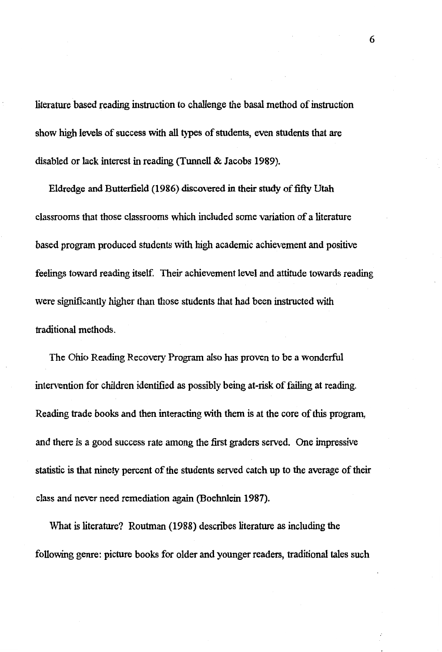literature based reading instruction to challenge the basal method of instruction show high levels of success with all types of students, even students that are disabled or lack interest in reading (Tunnell & Jacobs 1989).

Eldredge and Butterfield (1986) discovered in their study of fifty Utah classrooms that those classrooms which included some variation of a literature based program produced students with high academic achievement and positive feelings toward reading itself. Their achievement level and attitude towards reading were significantly higher than those students that had been instructed with traditional methods.

The Ohio Reading Recovery Program also has proven to be a wonderful intervention for children identified as possibly being at-risk of failing at reading. Reading trade books and then interacting with them is at the core of this program, and there is a good success rate among the first graders served. One impressive statistic is that ninety percent of the students served catch up to the average of their class and never need remediation again (Boehnlein 1987).

What is literature? Routman (1988) describes literature as including the following genre: picture books for older and younger readers, traditional tales such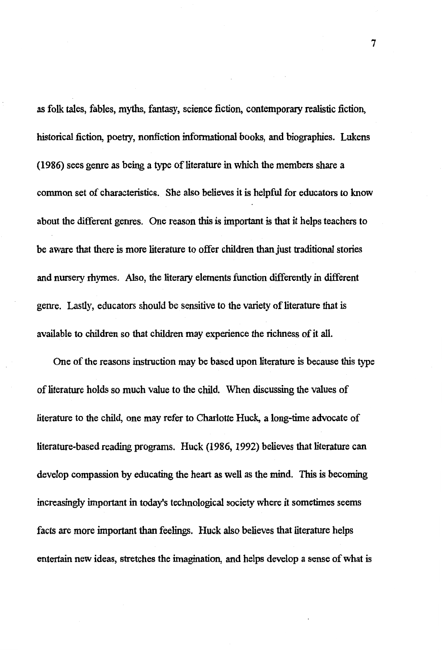as folk tales, fables, myths, fantasy, science fiction, contemporary realistic fiction, historical fiction, poetry, nonfiction informational books, and biographies. Lukens (1986) sees genre as being a type of literature in which the members share a common set of characteristics. She also believes it is helpful for educators to know about the different genres. One reason this is important is that it helps teachers to be aware that there is more literature to offer children than just traditional stories and nursery rhymes. Also, the literary elements function differently in different genre. Lastly, educators should be sensitive to the variety of literature that is available to children so that children may experience the richness of it all.

One of the reasons instruction may be based upon literature is because this type of literature holds so much value to the child. When discussing the values of literature to the child, one may refer to Charlotte Huck, a long-time advocate of literature-based reading programs. Huck (1986, 1992) believes that literature can develop compassion by educating the heart as well as the mind. This is becoming increasingly important in today's technological society where it sometimes seems facts are more important than feelings. Huck also believes that literature helps entertain new ideas, stretches the imagination, and helps develop a sense of what is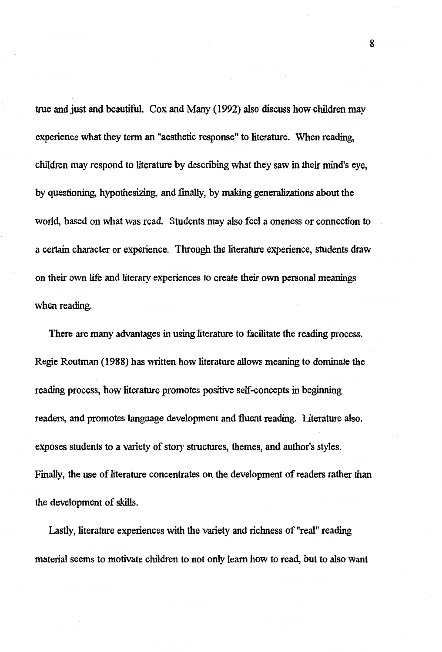true and just and beautiful. Cox and Many (1992) also discuss how children may experience what they term an "aesthetic response" to literature. When reading, children may respond to literature by describing what they saw in their mind's eye, by questioning, hypothesizing, and finally, by making generalizations about the world, based on what was read. Students may also feel a oneness or connection to a certain character or experience. Through the literature experience, students draw on their own life and literary experiences to create their own personal meanings when reading.

There are many advantages in using literature to facilitate the reading process. Regie Routman (1988) has written how literature allows meaning to dominate the reading process, how literature promotes positive self-concepts in beginning readers, and promotes language development and fluent reading. Literature also. exposes students to a variety of story structures, themes, and author's styles. Finally, the use of literature concentrates on the development of readers rather than the development of skills.

Lastly, literature experiences with the variety and richness of "real" reading material seems to motivate children to not only learn how to read, but to also want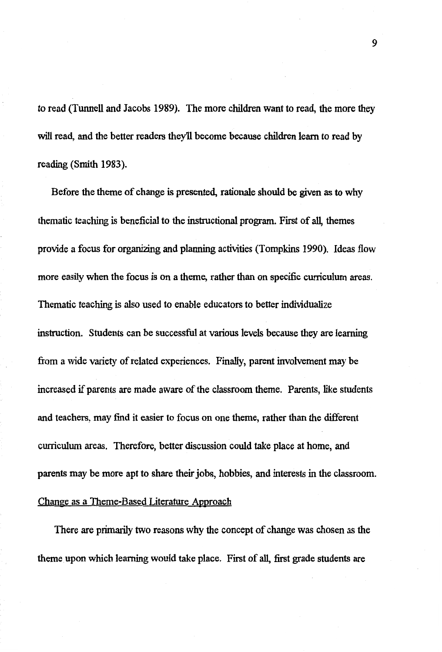to read (Tunnell and Jacobs 1989). The more children want to read, the more they will read, and the better readers they'll become because children learn to read by reading (Smith 1983).

Before the theme of change is presented, rationale should be given as to why thematic teaching is beneficial to the instructional program. First of all, themes provide a focus for organizing and planning activities (Tompkins 1990). Ideas flow more easily when the focus is on a theme, rather than on specific curriculum areas. Thematic teaching is also used to enable educators to better individualize instruction. Students can be successful at various levels because they are learning from a wide variety of related experiences. Finally, parent involvement may be increased if parents are made aware of the classroom theme. Parents, like students and teachers, may find it easier to focus on one theme, rather than the different curriculum areas. Therefore, better discussion could take place at home, and parents may be more apt to share their jobs, hobbies, and interests in the classroom. Change as a Theme-Based Literature Approach

There are primarily two reasons why the concept of change was chosen as the theme upon which learning would take place. First of all, first grade students are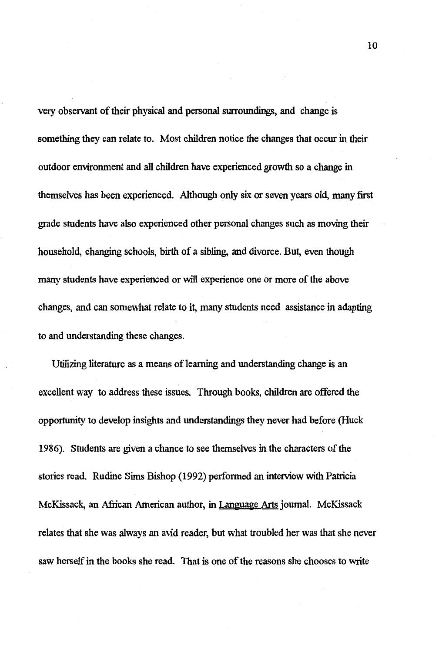very observant of their physical and personal surroundings, and change is something they can relate to. Most children notice the changes that occur in their outdoor environment and all children have experienced growth so a change in themselves has been experienced. Although only six or seven years old, many first grade students have also experienced other personal changes such as moving their household, changing schools, birth of a sibling, and divorce. But, even though many students have experienced or will experience one or more of the above changes, and can somewhat relate to it, many students need assistance in adapting to and understanding these changes.

Utilizing literature as a means of learning and understanding change is an excellent way to address these issues. Through books, children are offered the opportunity to develop insights and understandings they never had before (Huck 1986). Students are given a chance to see themselves in the characters of the stories read. Rudine Sims Bishop (1992) performed an interview with Patricia McKissack, an African American author, in Language Arts journal. McKissack relates that she was always an avid reader, but what troubled her was that she never saw herself in the books she read. That is one of the reasons she chooses to write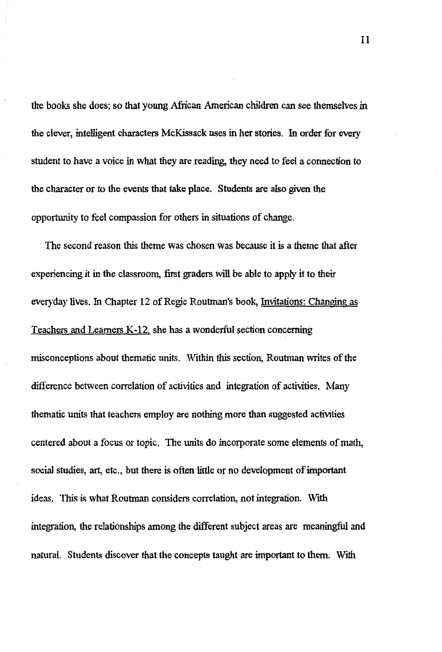the books she does; so that young African American children can see themselves in the clever, intelligent characters McKissack uses in her stories. In order for every student to have a voice in what they are reading, they need to feel a connection to the character or to the events that take place. Students are also given the opportunity to feel compassion for others in situations of change.

The second reason this theme was chosen was because it is a theme that after experiencing it in the classroom, first graders will be able to apply it to their everyday lives. In Chapter 12 of Regie Routman's book, Invitations: Changing as Teachers and Learners K-12. she has a wonderful section concerning misconceptions about thematic units. Within this section, Routman writes of the difference between correlation of activities and integration of activities. Many thematic units that teachers employ are nothing more than suggested activities centered about a focus or topic. The units do incorporate some elements of math, social studies, art, etc., but there is often little or no development of important ideas. This is what Routman considers correlation, not integration. With integration, the relationships among the different subject areas are meaningful and natural. Students discover that the concepts taught are important to them. With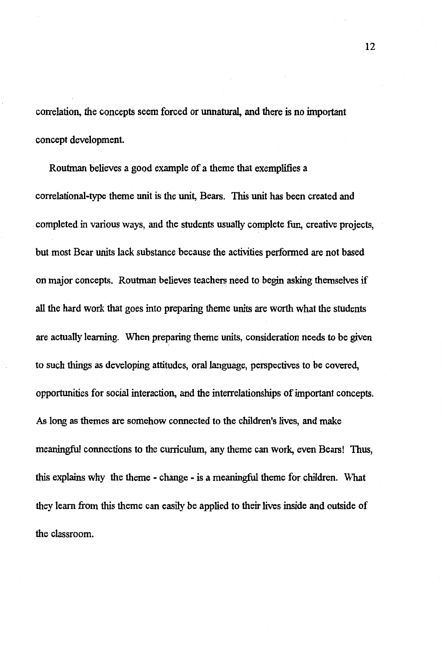correlation, the concepts seem forced or unnatural, and there is no important concept development.

Routman believes a good example of a theme that exemplifies a correlational-type theme unit is the unit, Bears. This unit has been created and completed in various ways, and the students usually complete fun, creative projects, but most Bear units lack substance because the activities perfonned are not based on major concepts. Routman believes teachers need to begin asking themselves if all the hard work that goes into preparing theme units are worth what the students are actually learning. When preparing theme units, consideration needs to be given to such things as developing attitudes, oral language, perspectives to be covered, opportunities for social interaction, and the interrelationships of important concepts. As long as themes are somehow connected to the children's lives, and make meaningful connections to the cuniculum, any theme can work, even Bears! Thus, this explains why the theme - change - is a meaningful theme for children. What they learn from this theme can easily be applied to their lives inside and outside of the classroom.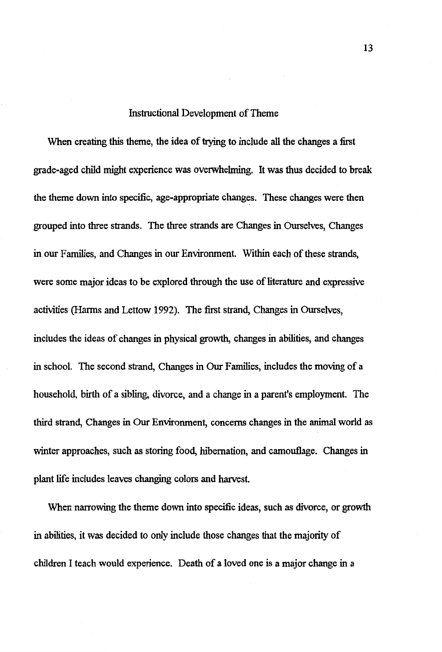## Instructional Development of Theme

When creating this theme, the idea of trying to include all the changes a first grade-aged child might experience was overwhelming. It was thus decided to break the theme down into specific, age-appropriate changes. These changes were then grouped into three strands. The three strands are Changes in Ourselves, Changes in our Families, and Changes in our Environment. Within each of these strands, were some major ideas to be explored through the use of literature and expressive activities (Harms and Lettow 1992). The first strand, Changes in Ourselves, includes the ideas of changes in physical growth, changes in abilities, and changes in school. The second strand, Changes in Our Families, includes the moving of a household, birth of a sibling, divorce, and a change in a parent's employment. The third strand, Changes in Our Environment, concerns changes in the animal world as winter approaches, such as storing food, hibernation, and camouflage. Changes in plant life includes leaves changing colors and hatvest.

When narrowing the theme down into specific ideas, such as divorce, or growth in abilities, it was decided to only include those changes that the majority of children I teach would experience. Death of a loved one is a major change in a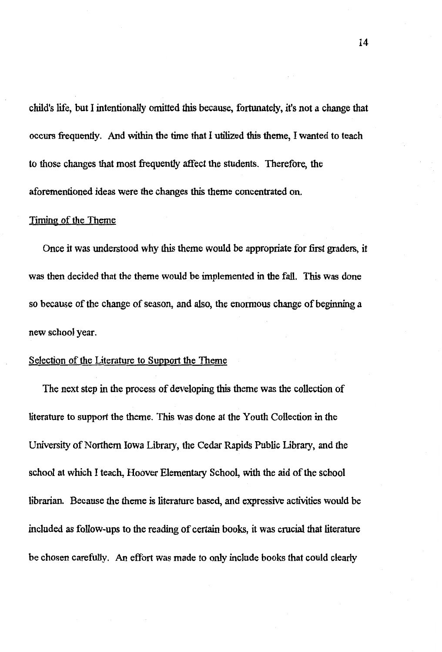child's life, but I intentionally omitted this because, fortunately, it's not a change that occurs frequently. And within the time that I utilized this theme, I wanted to teach to those changes that most frequently affect the students. Therefore, the aforementioned ideas were the changes this theme concentrated on.

## Timing of the Theme

Once it was understood why this theme would be appropriate for first graders, it was then decided that the theme would be implemented in the fall. This was done so because of the change of season, and also, the enormous change of beginning a new school year.

#### Selection of the Literature to Support the Theme

The next step in the process of developing this theme was the collection of literature to support the theme. This was done at the Youth Collection in the University of Northern Iowa Library, the Cedar Rapids Public Library, and the school at which I teach, Hoover Elementary School, with the aid of the school librarian. Because the theme is literature based, and expressive activities would be included as follow-ups to the reading of certain books, it was crucial that literature be chosen carefully. An effort was made to only include books that could clearly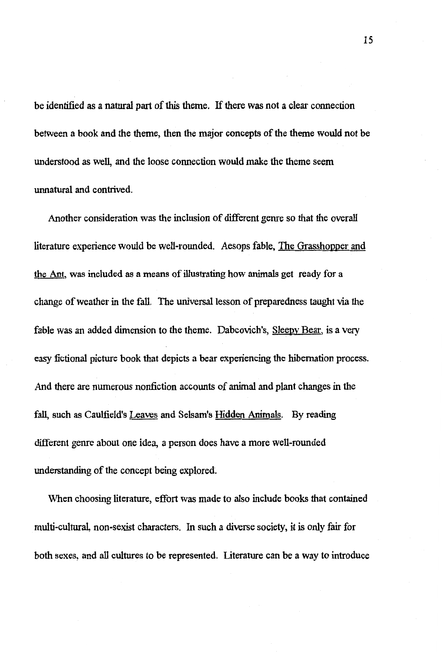be identified as a natural part of *this* theme. If there was not a clear connection between a book and the theme, then the major concepts of the theme would not be understood as well, and the loose connection would make the theme seem unnatural and contrived.

Another consideration was the inclusion of different genre so that the overall literature experience would be well-rounded. Aesops fable, The Grasshopper and the Ant, was included as a means of illustrating how animals get ready for a change of weather in the fall. The universal lesson of preparedness taught via the fable was an added dimension to the theme. Dabcovich's, Sleepy Bear, is a very easy fictional picture book that depicts a bear experiencing the hibernation process. And there are numerous nonfiction accounts of animal and plant changes in the fall, such as Caulfield's Leaves and Selsam's Hidden Animals. By reading different genre about one idea, a person does have a more well-rounded understanding of the concept being explored.

When choosing literature, effort was made to also include books that contained multi-cultural, non-sexist characters. In such a diverse society, it is only fair for both sexes, and all cultures to be represented. Literature can be a way to introduce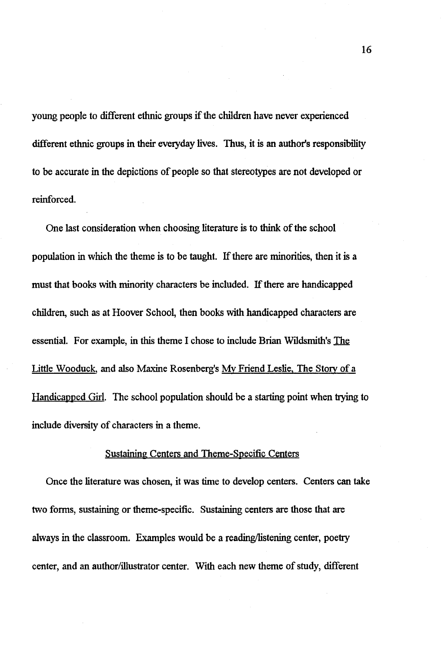young people to different ethnic groups if the children have never experienced different ethnic groups in their everyday lives. Thus, it is an author's responsibility to be accurate in the depictions of people so that stereotypes are not developed or reinforced.

One last consideration when choosing literature is to think of the school population in which the theme is to be taught. If there are minorities, then it is a must that books with minority characters be included. If there are handicapped children, such as at Hoover School, then books with handicapped characters are essential. For example, in this theme I chose to include Brian Wildsmith's The Little Wooduck, and also Maxine Rosenberg's My Friend Leslie, The *Story* of a Handicapped Girl. The school population should be a starting point when trying to include diversity of characters in a theme.

## Sustaining Centers and Theme-Specific Centers

Once the literature was chosen, it was time to develop centers. Centers can take two forms, sustaining or theme-specific. Sustaining centers are those that are always in the classroom. Examples would be a reading/listening center, poetry center, and an author/illustrator center. With each new theme of study, different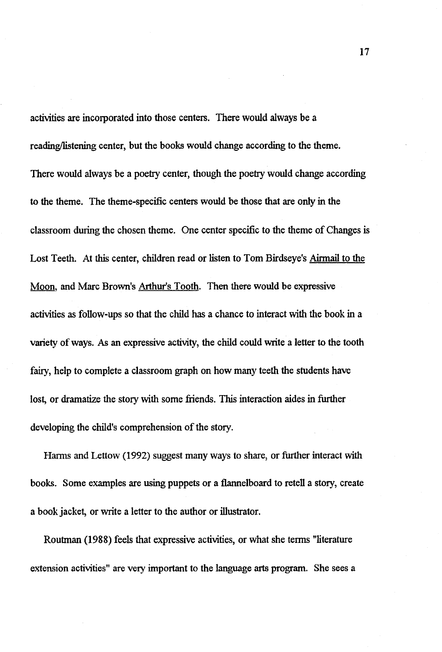activities are incorporated into those centers. There would always be a reading/listening center, but the books would change according to the theme. There would always be a poetry center, though the poetry would change according to the theme. The theme-specific centers would be those that are only in the classroom during the chosen theme. One center specific to the theme of Changes is Lost Teeth. At this center, children read or listen to Tom Birdseye's Airmail to the Moon, and Marc Brown's Arthur's Tooth. Then there would be expressive activities as follow-ups so that the child has a chance to interact \vi.th the book in a variety of ways. As an expressive activity, the child could write a letter to the tooth fairy, help to complete a classroom graph on how many teeth the students have lost, or dramatize the story with some friends. This interaction aides in further developing the child's comprehension of the story.

Harms and Lettow (1992) suggest many ways to share, or further interact with books. Some examples are using puppets or a flannelboard to retell a story, create a book jacket, or write a letter to the author or illustrator.

Routman (1988) feels that expressive activities, or what she tenns "literature extension activities" are very important to the language arts program. She sees a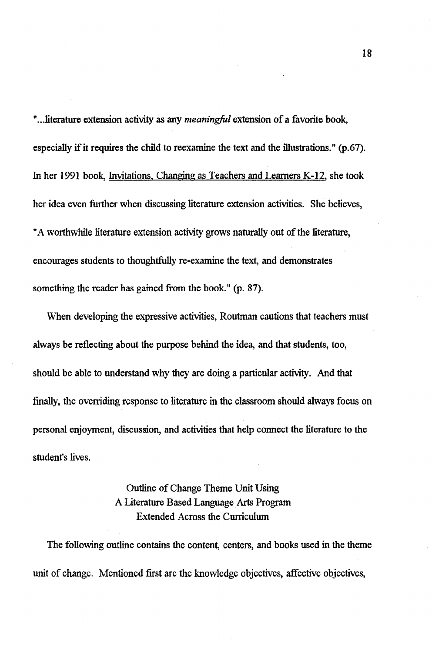" ... literature extension activity as any *meaningful* extension of a favorite book, especially if it requires the child to reexamine the text and the illustrations." (p.67). In her 1991 book, Invitations, Changing as Teachers and Learners K-12, she took her idea even further when discussing literature extension activities. She believes, "A worthwhile literature extension activity grows naturally out of the literature, encourages students to thoughtfully re-examine the text, and demonstrates something the reader has gained from the book." (p. 87).

'When developing the expressive activities, Routman cautions that teachers must always be reflecting about the purpose behind the idea, and that students, too, should be able to understand why they are doing a particular activity. And that finally, the overriding response to literature in the classroom should always focus on personal enjoyment, discussion, and activities that help connect the literature to the student's lives.

> Outline of Change Theme Unit Using A Literature Based Language Arts Program Extended Across the Curriculum

The following outline contains the content, centers, and books used in the theme unit of change. Mentioned first are the knowledge objectives, affective objectives,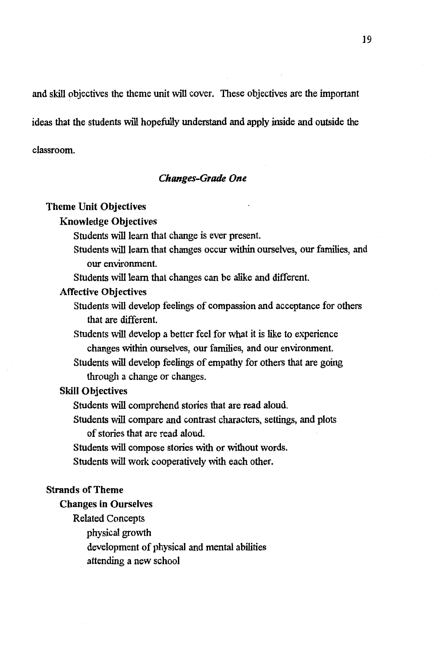and skill objectives the theme unit will cover. These objectives are the important

ideas that the students will hopefully understand and apply inside and outside the

classroom.

## *Changes-Grade One*

#### **Theme Unit Objectives**

#### Knowledge Objectives

Students will learn that change is ever present.

Students will learn that changes occur within ourselves, our families, and our environment.

Students will learn that changes can be alike and different.

- **Affective Objectives** 
	- Students will develop feelings of compassion and acceptance for others that are different.
	- Students will develop a better feel for what it is like to experience changes within ourselves, our families, and our environment.
	- Students will develop feelings of empathy for others that are going through a change or changes.

## **Skill Objectives**

Students will comprehend stories that are read aloud.

Students will compare and contrast characters, settings, and plots of stories that are read aloud.

Students will compose stories with or without words.

Students will work cooperatively with each other.

## **Strands of Theme**

#### **Changes in Ourselves**

Related Concepts

physical growth

development of physical and mental abilities

attending a new school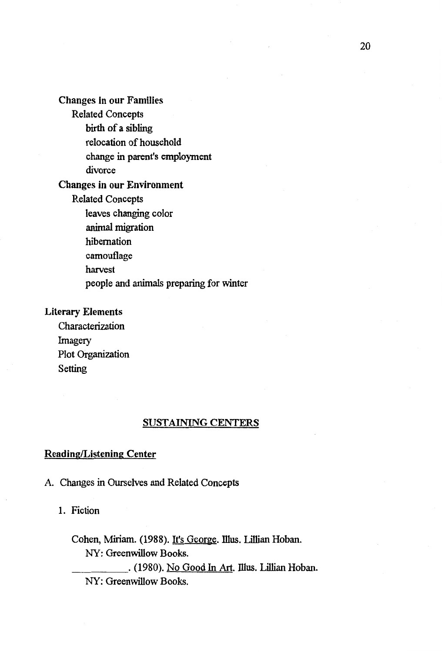Changes in our Families

Related Concepts birth of a sibling relocation of household change in parent's employment

divorce

## **Changes in our Environment**

Related Concepts

leaves changing color

animal migration

hibernation

camouflage

harvest

people and animals preparing for winter

## **Literary Elements**

Characterization Imagery Plot Organization Setting

## **SUSTAINING CENTERS**

## **Reading/Listening Center**

A. Changes in Ourselves and Related Concepts

1. Fiction

Cohen, Miriam. (1988). It's George. Illus. Lillian Hoban. NY: Greenwillow Books.

\_\_\_\_ . (1980). No Good In Art. mus. Lillian Hoban. NY: Greenwillow Books.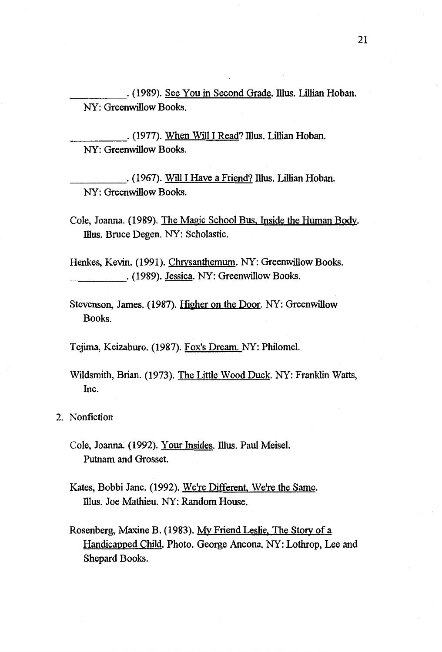\_\_\_\_\_ . (1989). See You in Second Grade. illus. Lillian Hoban. NY: Greenwillow Books.

\_\_\_\_ . (1977). When Will I Read? mus. Lillian Hoban. NY: Greenwillow Books.

. (1967). Will I Have a Friend? Illus. Lillian Hoban. NY: Greenwillow Books.

Cole, Joanna. (1989). The Magic School Bus. Inside the Human Body. Illus. Bruce Degen. NY: Scholastic.

Henkes, Kevin. (1991). Chrysanthemum. NY: Greenwillow Books. . (1989). Jessica. NY: Greenwillow Books.

Stevenson, James. (1987). Higher on the Door. NY: Greenwillow Books.

Tejima, Keizaburo. (1987). Fox's Dream. NY: Philomel.

Wildsmith, Brian. (1973). The Little Wood Duck. NY: Franklin Watts, Inc.

2. Nonfiction

Cole, Joanna. (1992). Your Insides. Illus. Paul Meisel. Putnam and Grosset.

- Kates, Bobbi Jane. (1992). We're Different, We're the Same. Illus. Joe Mathieu. NY: Random House.
- Rosenberg, Maxine B. (1983). My Friend Leslie, The Story of a Handicapped Child. Photo. George Ancona. NY: Lothrop, Lee and Shepard Books.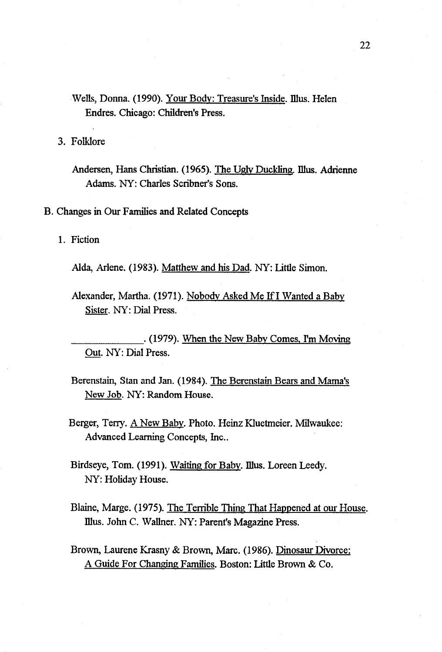Wells, Donna. (1990). Your Body: Treasure's Inside. Illus. Helen Endres. Chicago: Children's Press.

3. Folklore

Andersen, Hans Christian. (1965). The Ugly Duckling. Illus. Adrienne Adams. NY: Charles Scribner's Sons.

B. Changes in Our Families and Related Concepts

1. Fiction

Alda, Arlene. (1983). Matthew and his Dad. NY: Little Simon.

Alexander, Martha. (1971). Nobody Asked Me If I Wanted a Baby Sister. NY: Dial Press.

. (1979). When the New Baby Comes, I'm Moving Out. NY: Dial Press.

- Berenstain, Stan and Jan. (1984). The Berenstain Bears and Mama's New Job. NY: Random House.
- Berger, Terry. A New Baby. Photo. Heinz Kluetmeier. Milwaukee: Advanced Learning Concepts, Inc..

Birdseye, Tom. (1991). Waiting for Baby. Illus. Loreen Leedy. NY: Holiday House.

- Blaine, Marge. (1975). The Terrible Thing That Happened at our House. Illus. John C. Wallner. NY: Parent's Magazine Press.
- Brown, Laurene Krasny & Brown, Marc. (1986). Dinosaur Divorce: A Guide For Changing Families. Boston: Little Brown & Co.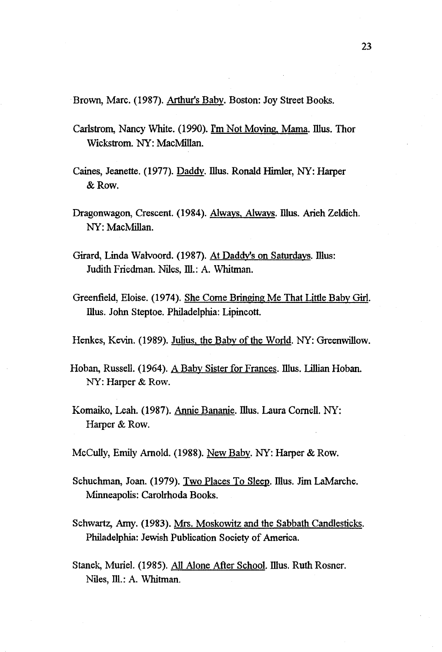Brown, Marc. (1987). Arthur's Baby. Boston: Joy Street Books.

- Carlstrom, Nancy White. (1990). I'm Not Moving, Mama. Illus. Thor Wickstrom. NY: MacMillan.
- Caines, Jeanette. (1977). Daddy. Illus. Ronald Himler, NY: Harper &Row.
- Dragonwagon, Crescent. (1984). Always, Always. Illus. Arieh Zeldich. NY: MacMillan.
- Girard, Linda Walvoord. (1987). At Daddy's on Saturdays. Illus: Judith Friedman. Niles, Ill.: A. Whitman.
- Greenfield, Eloise. (1974). She Come Bringing Me That Little Baby Girl. illus. John Steptoe. Philadelphia: Lipincott.
- Henkes, Kevin. (1989). Julius, the Baby of the World. NY: Greenwillow.
- Hoban, Russell. (1964). A Baby Sister for Frances. Illus. Lillian Hoban. NY: Harper & Row.
- Komaiko, Leah. (1987). Annie Bananie. Illus. Laura Cornell. NY: Harper & Row.
- McCully, Emily Arnold. (1988). New Baby. NY: Harper & Row.
- Schuchman, Joan. (1979). Two Places To Sleep. Illus. Jim LaMarche. Minneapolis: Carolrhoda Books.
- Schwartz, Amy. (1983). Mrs. Moskowitz and the Sabbath Candlesticks. Philadelphia: Jewish Publication Society of America.
- Stanek, Muriel. (1985). All Alone After School. Illus. Ruth Rosner. Niles, Ill.: A. Whitman.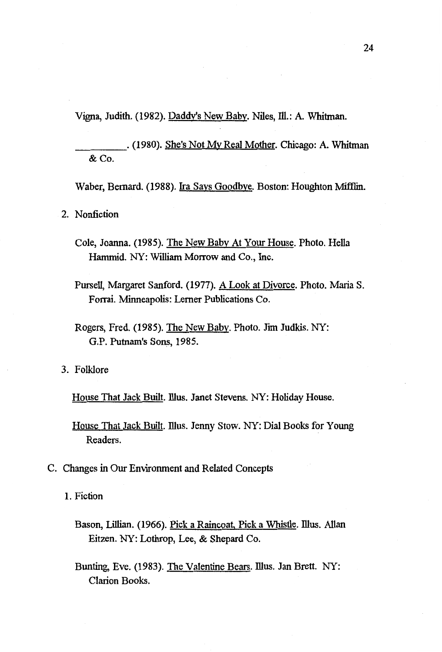Vigna, Judith. (1982). Daddy's New Baby. Niles, Ill.: A. Whitman.

\_\_\_\_ . (1980). She's Not My Real Mother. Chicago: A. Whitman &Co.

Waber, Bernard. (1988). Ira Says Goodbye. Boston: Houghton Mifflin.

2. Nonfiction

- Cole, Joanna. (1985). The New Baby At Your House. Photo. Hella Hammid. NY: William Morrow and Co., Inc.
- Pursell, Margaret Sanford. (1977). A Look at Divorce. Photo. Maria S. Forrai. Minneapolis: Lerner Publications Co.
- Rogers, Fred. (1985). The New Baby. Photo. Jim Judkis. NY: G.P. Putnam's Sons, 1985.

3. Folklore

House That Jack Built. Illus. Janet Stevens. NY: Holiday House.

- House That Jack Built. Illus. Jenny Stow. NY: Dial Books for Young Readers.
- C. Changes in Our Environment and Related Concepts

1. Fiction

- Bason, Lillian. (1966). Pick a Raincoat, Pick a Whistle. Illus. Allan Eitzen. NY: Lothrop, Lee, & Shepard Co.
- Bunting, Eve. (1983). The Valentine Bears. Illus. Jan Brett. NY: Clarion Books.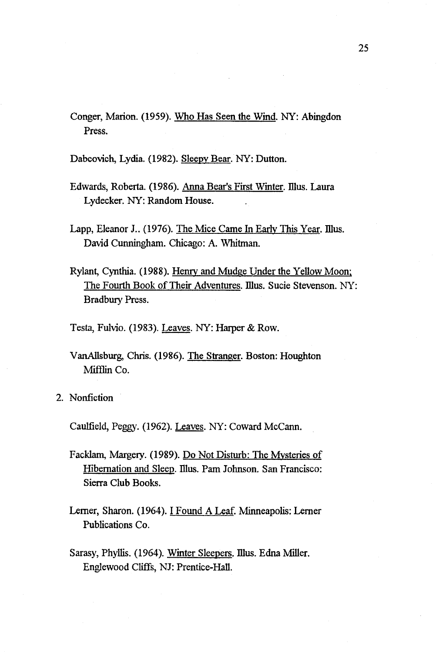Conger, Marion. (1959). Who Has Seen the Wind. NY: Abingdon Press.

Dabcovich, Lydia. (1982). Sleepy Bear. NY: Dutton.

- Edwards, Roberta. (1986). Anna Bear's First Winter. Illus. Laura Lydecker. NY: Random House.
- Lapp, Eleanor J.. (1976). The Mice Came In Early This Year. Illus. David Cunningham. Chicago: A. Whitman.
- Rylant, Cynthia. (1988). Henry and Mudge Under the Yellow Moon: The Fourth Book of Their Adventures. Illus. Sucie Stevenson. NY: Bradbury Press.
- Testa, Fulvio. (1983). Leaves. NY: Harper & Row.
- VanAllsburg, Chris. (1986). The Stranger. Boston: Houghton Mifflin Co.
- 2. Nonfiction

Caulfield, Peggy. (1962). Leaves. NY: Coward Mccann.

- Facklam, Margery. (1989). Do Not Disturb: The Mysteries of Hibernation and Sleep. Illus. Pam Johnson. San Francisco: Sierra Club Books.
- Lerner, Sharon. (1964). I Found A Leaf. Minneapolis: Lerner Publications Co.
- Sarasy, Phyllis. (1964). Winter Sleepers. Illus. Edna Miller. Englewood Cliffs, NJ: Prentice-Hall.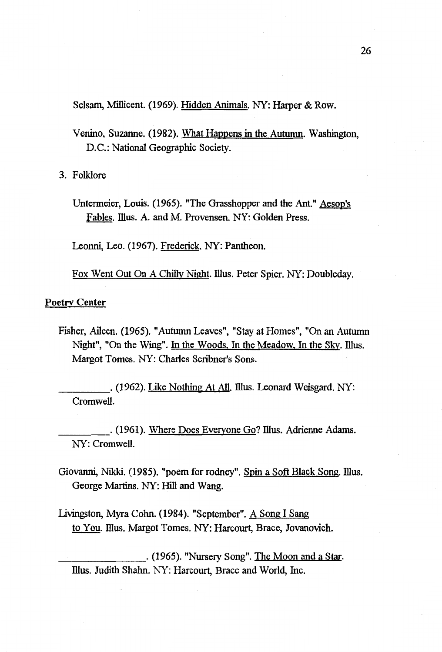Selsam, Millicent. (1969). Hidden Animals. NY: Harper & Row.

Venino, Suzanne. (1982). What Happens in the Autumn. Washington, D.C.: National Geographic Society.

3. Folklore

Untermeier, Louis. (1965). "The Grasshopper and the Ant." Aesop's Fables. Illus. A. and M. Provensen. NY: Golden Press.

Leonni, Leo. (1967). Frederick. NY: Pantheon.

Fox Went Out On A Chilly Night. Illus. Peter Spier. NY: Doubleday.

## **Poetrv Center**

Fisher, Aileen. (1965). "Autumn Leaves", "Stay at Homes", "On an Autumn Night", "On the Wing". In the Woods, In the Meadow, In the Sky. Illus. Margot Tomes. NY: Charles Scribner's Sons.

\_\_\_\_ . (1962). Like Nothing At All. illus. Leonard Weisgard. NY: Cromwell.

. (1961). Where Does Everyone Go? Illus. Adrienne Adams. NY: Cromwell.

- Giovanni, Nikki. (1985). "poem for rodney". Spin a Soft Black Song. Illus. George Martins. NY: Hill and Wang.
- Livingston, Myra Cohn. (1984). "September". A Song I Sang to You. Illus. Margot Tomes. NY: Harcourt, Brace, Jovanovich.

\_\_\_\_\_\_\_ . (1965). "Nursery Song". The Moon and a Star. Illus. Judith Shahn. NY: Harcourt, Brace and World, Inc.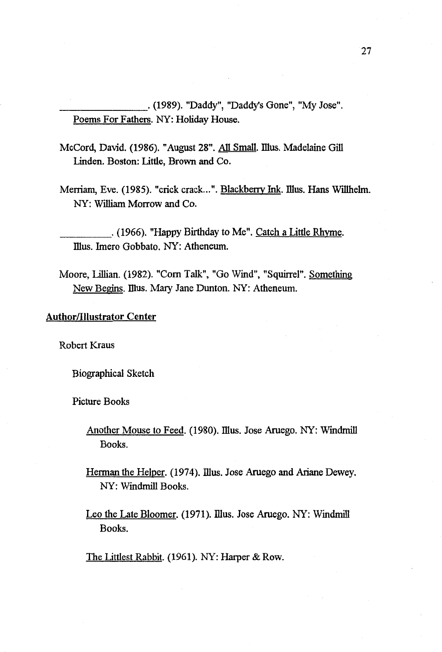\_\_\_\_\_\_\_ . (1989). "Daddy", "Daddy's Gone", "My Jose". Poems For Fathers. NY: Holiday House.

McCord, David. (1986). "August 28". All Small. Illus. Madelaine Gill Linden. Boston: Little, Brown and Co.

Merriam, Eve. (1985). "crick crack...". Blackberry Ink. Illus. Hans Willhelm. NY: William Morrow and Co.

\_\_\_\_ . (1966). "Happy Birthday to Me". Catch a Little Rhyme. Illus. Imero Gobbato. NY: Atheneum.

Moore, Lillian. (1982). "Com Talk", "Go Wind", "Squirrel". Something New Begins. Illus. Mary Jane Dunton. NY: Atheneum.

## **Author/Illustrator Center**

Robert Kraus

Biographical Sketch

Picture Books

Another Mouse to Feed. (1980). Illus. Jose Aruego. NY: Windmill Books.

Herman the Helper. (1974). Illus. Jose Aruego and Ariane Dewey. NY: Windmill Books.

Leo the Late Bloomer. (1971). Illus. Jose Aruego. NY: Windmill Books.

The Littlest Rabbit. (1961). NY: Harper & Row.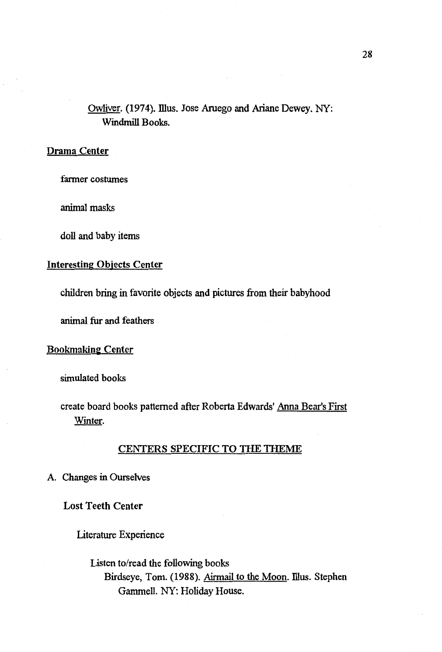## Owliver. (1974). Illus. Jose Aruego and Ariane Dewey. NY: Windmill Books.

## Drama Center

farmer costumes

animal masks

doll and baby items

## Interesting Objects Center

children bring in favorite objects and pictures from their babyhood

animal fur and feathers

## **Bookmaking Center**

simulated books

create board books patterned after Roberta Edwards' Anna Bear's First Winter.

### CENTERS SPECIFIC TO THE THEME

A. Changes in Ourselves

Lost Teeth Center

Literature Experience

Listen to/read the following books Birdseye, Tom. (1988). Airmail to the Moon. Illus. Stephen Gammell. NY: Holiday House.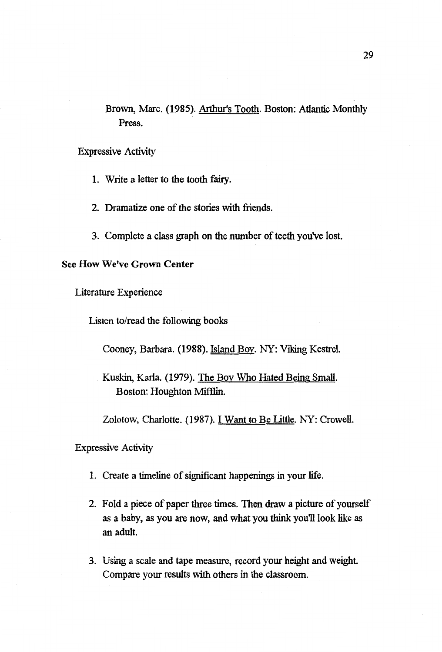Brown, Marc. (1985). Arthur's Tooth. Boston: Atlantic Monthly Press.

Expressive Activity

1. Write a letter to the tooth fairy.

2. Dramatize one of the stories with friends.

3. Complete a class graph on the number of teeth you've lost.

## **See How We've Grown Center**

Literature Experience

Listen to/read the following books

Cooney, Barbara. (1988). Island Boy. NY: Viking Kestrel.

Zolotow, Charlotte. (1987). I Want to Be Little. NY: Crowell.

Expressive Activity

- 1. Create a timeline of significant happenings in your life.
- 2. Fold a piece of paper three times. Then draw a picture of yourself as a baby, as you are now, and what you think you11 look like as an adult.
- 3. Using a scale and tape measure, record your height and weight. Compare your results with others in the classroom.

Kuskin, Karla. (1979). The Boy Who Hated Being Small. Boston: Houghton Mifflin.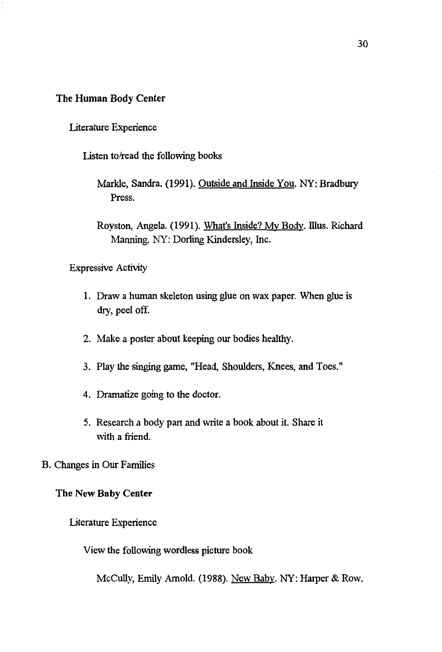## The Human Body Center

## Literature Experience

Listen to/read the following books

Markle, Sandra. (1991). Outside and Inside You. NY: Bradbury Press.

Royston, Angela. (1991). What's Inside? My Body. Illus. Richard Manning. NY: Dorling Kindersley, Inc.

Expressive Activity

- 1. Draw a human skeleton using glue on wax paper. When glue is dry, peel off.
- 2. Make a poster about keeping our bodies healthy.
- 3. Play the singing game, "Head, Shoulders, Knees, and Toes."
- 4. Dramatize going to the doctor.
- 5. Research a body part and write a book about it. Share it with a friend.

## B. Changes in Our Families

#### **The New Baby Center**

#### Literature Experience

View the following wordless picture book

McCully, Emily Arnold. (1988). New Baby. NY: Harper & Row.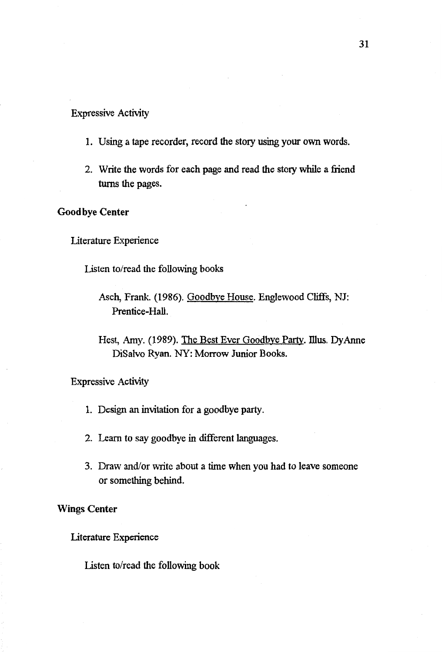#### Expressive Activity

- 1. Using a tape recorder, record the story using your own words.
- 2. Write the words for each page and read the story while a friend turns the pages.

## **Good bye Center**

Literature Experience

Listen to/read the following books

Hest, Amy. (1989). The Best Ever Goodbye Party. Illus. Dy Anne DiSalvo Ryan. NY: Morrow Junior Books.

Expressive Activity

- 1. Design an invitation for a goodbye party.
- 2. Learn to say goodbye in different languages.
- 3. Draw and/or write about a time when you had to leave someone or something behind.

**Wings Center** 

Literature Experience

Listen to/read the following book

Asch, Frank. (1986). Goodbye House. Englewood Cliffs, NJ: Prentice-Hall.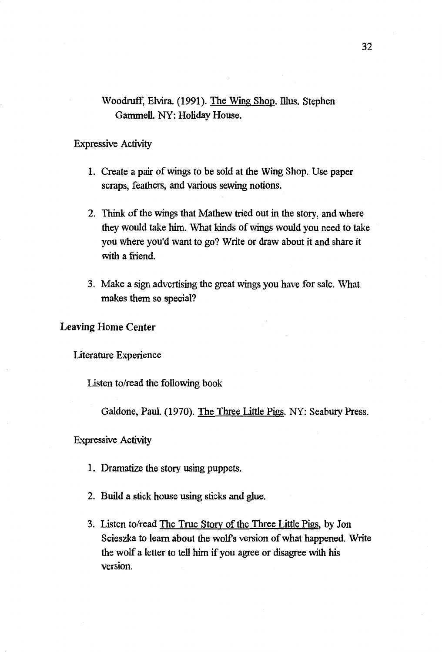## Woodruff, Elvira. (1991). The Wing Shop. Illus. Stephen Gammell. NY: Holiday House.

### Expressive Activity

- 1. Create a pair of wings to be sold at the Wing Shop. Use paper scraps, feathers, and various sewing notions.
- 2. Think of the wings that Mathew tried out in the story, and where they would take him. What kinds of wings would you need to take you where you'd want to go? Write or draw about it and share it with a friend.
- 3. Make a sign advertising the great wings you have for sale. What makes them so special?

## Leaving Home Center

Literature Experience

Listen to/read the following book

Galdone, Paul. (1970). The Three Little Pigs. NY: Seabury Press.

#### Expressive Activity

- 1. Dramatize the story using puppets.
- 2. Build a stick house using sticks and glue.
- 3. Listen to/read The True Story of the Three Little Pigs, by Jon Scieszka to learn about the wolfs version of what happened. Write the wolf a letter to tell him if you agree or disagree with his version.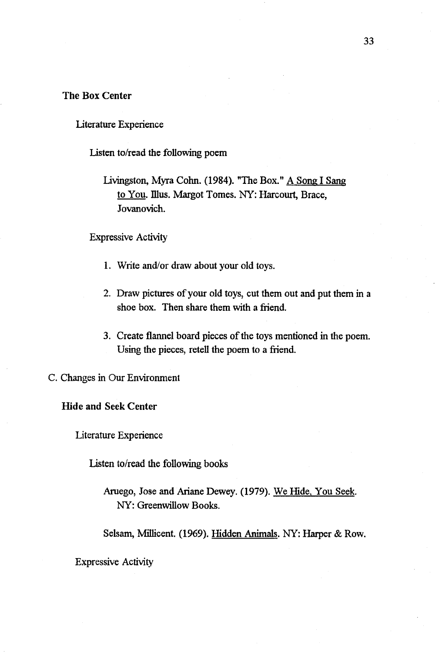## The Box Center

Literature Experience

Listen to/read the following poem

Livingston, Myra Cohn. (1984). "The Box." A Song I Sang to You. Illus. Margot Tomes. NY: Harcourt, Brace, Jovanovich.

Expressive Activity

- 1. Write and/or draw about your old toys.
- 2. Draw pictures of your old toys, cut them out and put them in a shoe box. Then share them with a friend.
- 3. Create flannel board pieces of the toys mentioned in the poem. Using the pieces, retell the poem to a friend.

C. Changes in Our Environment

**Hide and Seek Center** 

literature Experience

Listen to/read the following books

Aruego, Jose and Ariane Dewey. (1979). We Hide, You Seek. NY: Greenwillow Books.

Selsam, Millicent. (1969). Hidden Animals. NY: Harper & Row.

Expressive Activity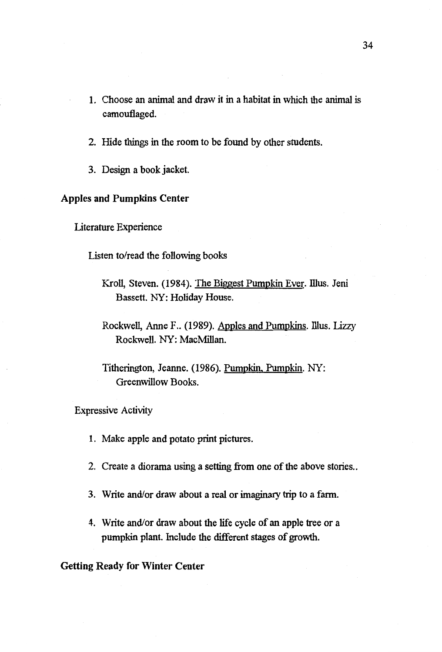- 1. Choose an animal and draw it in a habitat in which the animal is camouflaged.
- 2. Hide things in the room to be found by other students.
- 3. Design a book jacket.

## **Apples and Pumpkins Center**

Literature Experience

Listen to/read the following books

- Kroll, Steven. (1984). The Biggest Pumpkin Ever. Illus. Jeni Bassett. NY: Holiday House.
- Rockwell, Anne F.. (1989). Apples and Pumpkins. Illus. Lizzy Rockwell. NY: MacMillan.
- Titherington, Jeanne. (1986). Pumpkin, Pumpkin. NY: Greenwillow Books.

Expressive Activity

- 1. Make apple and potato print pictures.
- 2. Create a diorama using a setting from one of the above stories...
- 3. Write and/or draw about a real or imaginary trip to a farm.
- 4. Write and/or draw about the life cycle of an apple tree or a pumpkin plant. Include the different stages of growth.

Getting Ready for Winter Center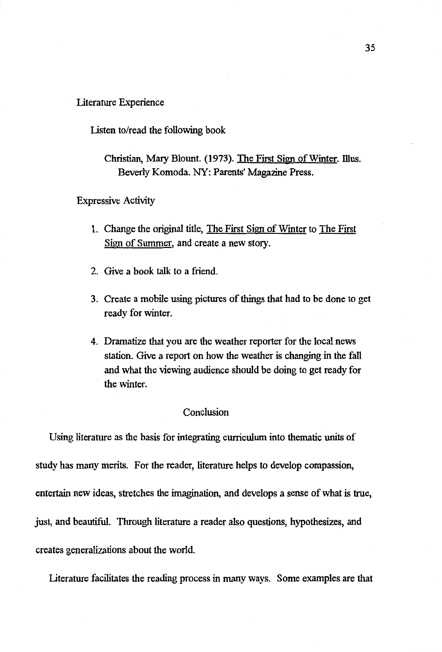#### Literature Experience

Listen to/read the following book

Expressive Activity

- 1. Change the original title, The First Sign of Winter to The First Sign of Summer, and create a new story.
- 2. Give a book talk to a friend.
- 3. Create a mobile using pictures of things that had to be done to get ready for winter.
- 4. Dramatize that you are the weather reporter for the local news station. Give a report on how the weather is changing in the fall and what the viewing audience should be doing to get ready for the winter.

### Conclusion

Using literature as the basis for integrating curriculum into thematic units of study has many merits. For the reader, literature helps to develop compassion, entertain new ideas, stretches the imagination, and develops a sense of what is true, just, and beautiful. Through literature a reader also questions, hypothesizes, and creates generalizations about the world.

Literature facilitates the reading process in many ways. Some examples are that

Christian, Mary Blount. (1973). The First Sign of Winter. Illus. Beverly Komada. NY: Parents' Magazine Press.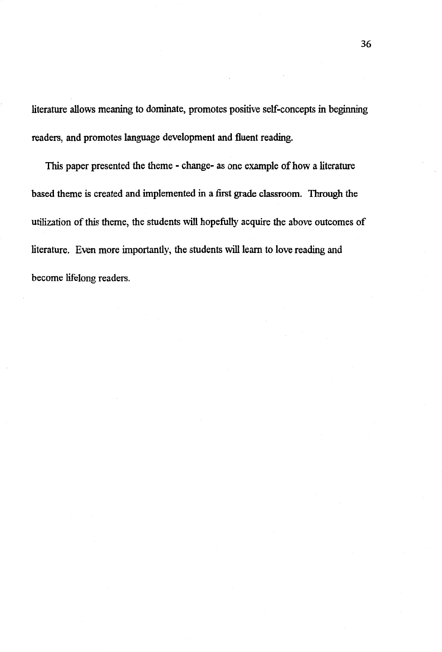literature allows meaning to dominate, promotes positive self-concepts in beginning readers, and promotes language development and fluent reading.

This paper presented the theme - change- as one example of how a literature based theme is created and implemented in a first grade classroom. Through the utilization of this theme, the students will hopefully acquire the above outcomes of literature. Even more importantly, the students will learn to love reading and become lifelong readers.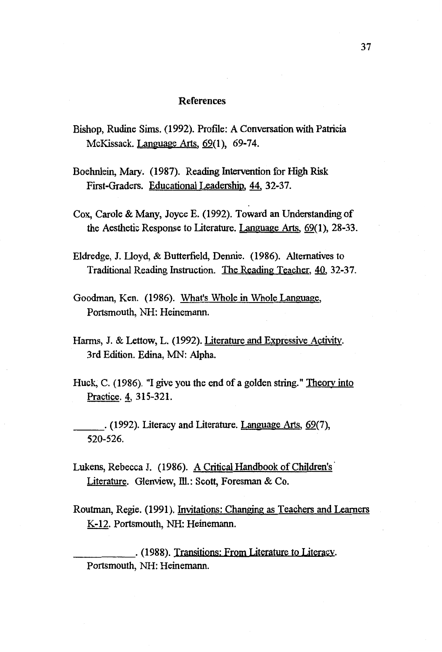#### References

- Bishop, Rudine Sims. (1992). Profile: A Conversation with Patricia McKissack. Language Arts, 69(1), 69-74.
- Boehnlein, Mary. (1987). Reading Intervention for High Risk First-Graders. Educational Leadership,~ 32-37.
- Cox, Carole & Many, Joyce E. (1992). Toward an Understanding of the Aesthetic Response to Literature. Language Arts, 69(1), 28-33.
- Eldredge, J. Lloyd, & Butterfield, Dennie. (1986). Alternatives to Traditional Reading Instruction. The Reading Teacher, 40, 32-37.
- Goodman, Ken. (1986). What's Whole in Whole Language, Portsmouth, NH: Heinemann.
- Harms, J. & Lettow, L. (1992). Literature and Expressive Activity. 3rd Edition. Edina, MN: Alpha.
- Huck, C. (1986). "I give you the end of a golden string." Theory into Practice. 4, 315-321.
- \_\_\_ . (1992). Literacy and Literature. Language Arts, 69(7), 520-526.
- Lukens, Rebecca J. (1986). A Critical Handbook of Children's Literature. Glenview, Ill.: Scott, Foresman & Co.
- Routman, Regie. (1991). Invitations: Changing as Teachers and Learners K-12. Portsmouth, NH: Heinemann.

\_\_\_\_\_ . (1988). Transitions: From Literature to Literacy. Portsmouth, NH: Heinemann.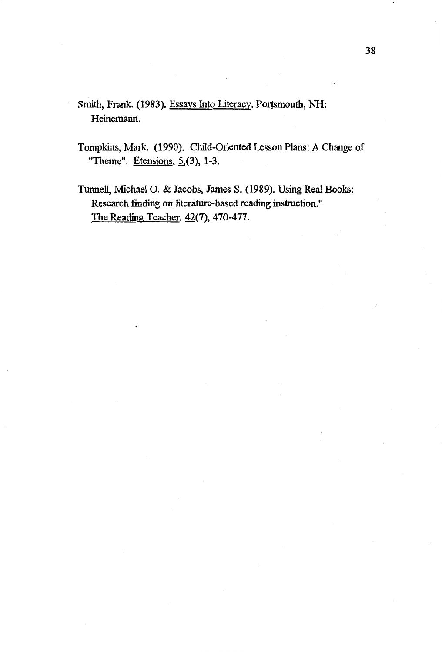- Smith, Frank. (1983). Essays Into Literacy. Portsmouth, NH: Heinemann.
- Tompkins, Mark. (1990). Child-Oriented Lesson Plans: A Change of "Theme". Etensions,  $5(3)$ , 1-3.
- Tunnell, Michael 0. & Jacobs, James S. (1989). Using Real Books: Research finding on literature-based reading instruction." The Reading Teacher,  $42(7)$ , 470-477.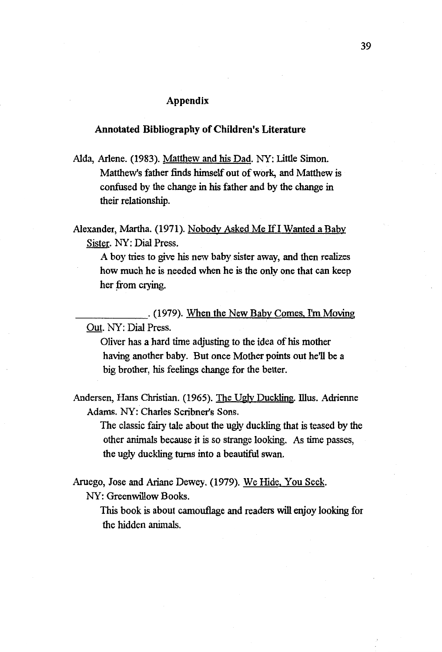## Appendix

## **Annotated Bibliography of Children's Literature**

Alda, Arlene. (1983). Matthew and his Dad. NY: Little Simon. Matthew's father finds himself out of work, and Matthew is confused by the change in his father and by the change in their relationship.

Alexander, Martha. (1971). Nobody Asked Me If I Wanted a Baby Sister. NY: Dial Press.

A boy tries to give his new baby sister away, and then realizes how much he is needed when he is the only one that can keep her from crying.

\_\_\_\_\_\_ . ( 1979). When the New Baby Comes, I'm Moving Out. NY: Dial Press.

Oliver has a hard time adjusting to the idea of his mother having another baby. But once Mother points out he'll be a big brother, his feelings change for the better.

Andersen, Hans Christian. (1965). The Ugly Duckling. Illus. Adrienne Adams. NY: Charles Scribner's Sons.

The classic fairy tale about the ugly duckling that is teased by the other animals because it is so strange looking. As time passes, the ugly duckling turns into a beautiful swan.

Aruego, Jose and Ariane Dewey. (1979). We Hide, You Seek. NY: Greenwillow Books.

> This book is about camouflage and readers will enjoy looking for the hidden animals.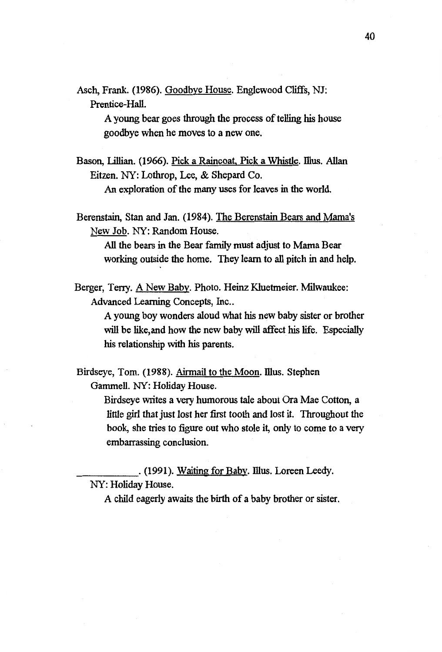Asch, Frank. (1986). Goodbye House. Englewood Cliffs, NJ: Prentice-Hall.

> A young bear goes through the process of telling his house goodbye when he moves to a new one.

Bason, Lillian. (1966). Pick a Raincoat, Pick a Whistle. Illus. Allan Eitzen. NY: Lothrop, Lee, & Shepard Co.

An exploration of the many uses for leaves in the world.

Berenstain, Stan and Jan. (1984). The Berenstain Bears and Mama's New Job. NY: Random House.

All the bears in the Bear family must adjust to Mama Bear working outside the home. They learn to all pitch in and help.

Berger, Terry. A New Baby. Photo. Heinz Kluetmeier. Milwaukee: Advanced Learning Concepts, Inc..

> A young boy wonders aloud what his new baby sister or brother will be like, and how the new baby will affect his life. Especially his relationship with his parents.

Birdseye, Tom. (1988). Airmail to the Moon. Illus. Stephen Gammell. NY: Holiday House.

> Birdseye writes a vecy humorous tale about Ora Mae Cotton, a little girl that just lost her first tooth and lost it. Throughout the book, she tries to figure out who stole it, only to come to a very embarrassing conclusion.

\_\_\_\_\_ . (1991). Waiting for Baby. mus. Loreen Leedy.

NY: Holiday House.

A child eagerly awaits the birth of a baby brother or sister.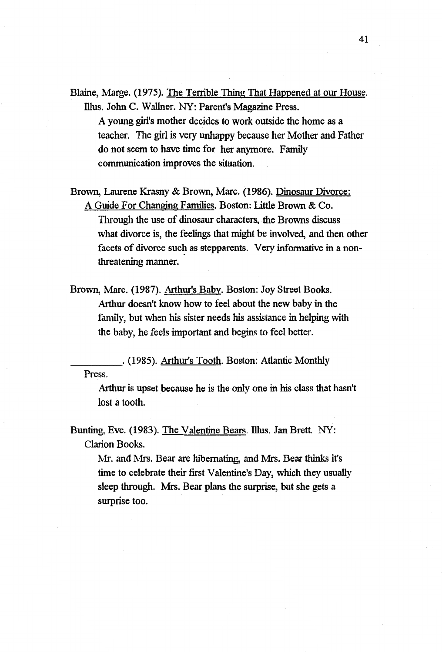- Blaine, Marge. (1975). The Tenible Thing That Happened at our House. Illus. John C. Wallner. NY: Parent's Magazine Press. A young girl's mother decides to work outside the home as a teacher. The girl is very unhappy because her Mother and Father do not seem to have time for her anymore. Family communication improves the situation.
- Brown, Laurene Krasny & Brown, Marc. (1986). Dinosaur Divorce: A Guide For Changing Families. Boston: Little Brown & Co. Through the use of dinosaur characters, the Browns discuss what divorce is, the feelings that might be involved, and then other facets of divorce such as stepparents. Very informative in a nonthreatening manner.
- Brown, Marc. (1987). Arthur's Baby. Boston: Joy Street Books. Arthur doesn't know how to feel about the new baby in the family, but when his sister needs his assistance in helping with the baby, he feels important and begins to feel better.

\_\_\_\_ . (1985). Arthur's Tooth. Boston: Atlantic Monthly Press.

Arthur is upset because he is the only one in his class that hasn't lost a tooth.

Bunting, Eve. (1983). The Valentine Bears. Illus. Jan Brett. NY: Clarion Books.

> Mr. and Mrs. Bear are hibernating, and Mrs. Bear thinks it's time to celebrate their first Valentine's Day, which they usually sleep through. Mrs. Bear plans the surprise, but she gets a surprise too.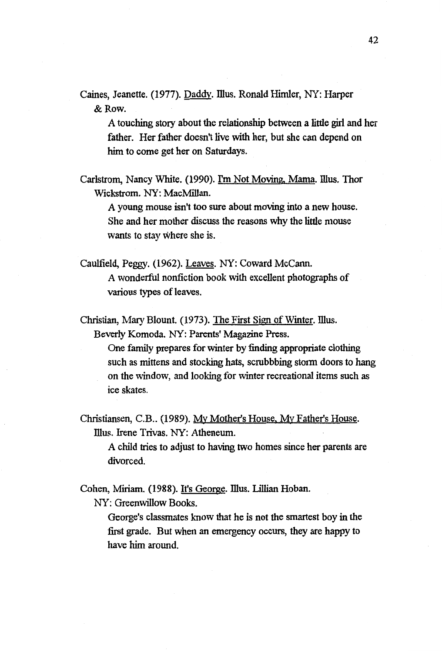Caines, Jeanette. (1977). Daddy. Illus. Ronald Himler. NY: Harner &Row.

A touching story about the relationship between a little girl and her father. Her father doesn't live with her, but she can depend on him to come get her on Saturdays.

Carlstrom, Nancy White. (1990). I'm Not Moving, Mama. Illus. Thor Wickstrom. NY: MacMillan.

A young mouse isn't too sure about moving into a new house. She and her mother discuss the reasons why the little mouse wants to stay where she is.

Caulfield, Peggy. (1962). Leaves. NY: Coward Mccann.

A wonderful nonfiction book with excellent photographs of various types of leaves.

Christian, Mary Blount. (1973). The First Sign of Winter. Illus. Beverly Komoda. NY: Parents' Magazine Press.

> One family prepares for winter by finding appropriate clothing such as mittens and stocking hats, scrubbbing storm doors to hang on the window, and looking for winter recreational items such as ice skates.

Christiansen, C.B .. (1989). My Mother's House, My Father's House. Illus. Irene Trivas. NY: Atheneum.

A child tries to adjust to having two homes since her parents are divorced.

Cohen, Miriam. (1988). It's George. Illus. Lillian Hoban.

NY: Greenwillow Books.

George's classmates know that he is not the smartest boy in the first grade. But when an emergency occurs, they are happy to have him around.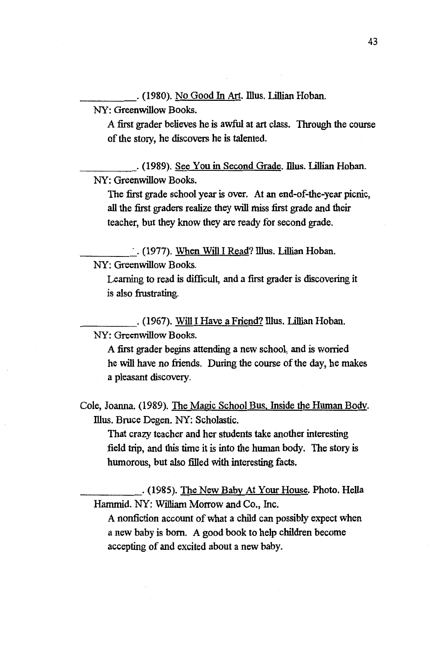\_\_\_\_ . (1980). No Good In Art. Illus. Lillian Hoban.

NY: Greenwillow Books.

A first grader believes he is awful at art class. Through the course of the story, he discovers he is talented.

\_\_\_\_\_ . (1989). See You in Second Grade. Illus. Lillian Hoban. NY: Greenwillow Books.

The first grade school year is over. At an end-of-the-year picnic, all the first graders realize they will miss first grade and their teacher, but they know they are ready for second grade.

 $\cdot$ . (1977). When Will I Read? Illus. Lillian Hoban. NY: Greenwillow Books.

Learning to read is difficult, and a first grader is discovering it is also frustrating.

. (1967). Will I Have a Friend? Illus. Lillian Hoban. NY: Greenwillow Books.

A first grader begins attending a new school, and is worried he will have no friends. During the course of the day, he makes a pleasant discovery.

Cole, Joanna. (1989). The Magic School Bus, Inside the Human Body. Illus. Bruce Degen. NY: Scholastic.

That crazy teacher and her students take another interesting field trip, and this time it is into the human body. The story is humorous, but also filled with interesting facts.

\_\_\_\_\_ . (1985). The New Baby At Your House. Photo. Hella Hammid. NY: William Morrow and Co., Inc.

A nonfiction account of what a child can possibly expect when a new baby is born. A good book to help children become accepting of and excited about a new baby.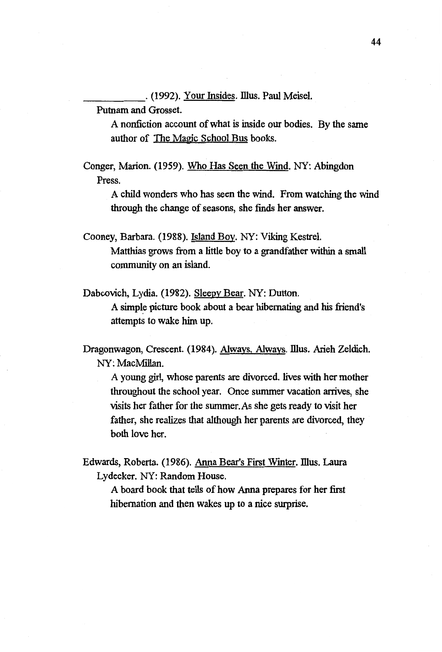\_\_\_\_\_ . (1992). Your Insides. illus. Paul Meisel.

Putnam and Grosset.

A nonfiction account of what is inside our bodies. By the same author of The Magic School Bus books.

Conger, Marion. (1959). Who Has Seen the Wind. NY: Abingdon Press.

> A child wonders who has seen the wind. From watching the wind through the change of seasons, she finds her answer.

Cooney, Barbara. (1988). Island Boy. NY: Viking Kestrel. Matthias grows from a little boy to a grandfather within a small community on an island.

Dabcovich, Lydia. (1982). Sleepy Bear. NY: Dutton.

A simple picture book about a bear hibernating and his friend's attempts to wake him up.

Dragonwagon, Crescent. (1984). Always, Always. Illus. Arieh Zeldich. NY: MacMillan.

A young girl, whose parents are divorced. lives with her mother throughout the school year. Once summer vacation arrives, she visits her father for the summer.As she gets ready to visit her father, she realizes that although her parents are divorced, they both love her.

Edwards, Roberta. (1986). Anna Bear's First Winter. Illus. Laura Lydecker. NY: Random House.

A board book that tells of how Anna prepares for her first hibernation and then wakes up to a nice surprise.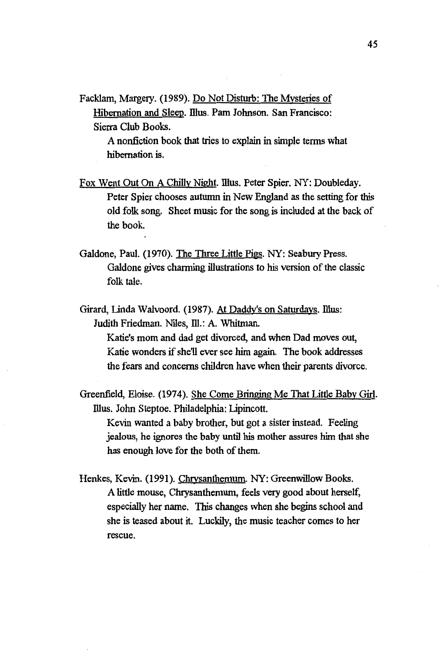Facklam, Margery. (1989). Do Not Disturb: The Mysteries of Hibernation and Sleep. Illus. Pam Johnson. San Francisco: Sierra Club Books.

> A nonfiction book that tries to explain in simple terms what hibernation is.

- Fox Went Out On A Chilly Night. Illus. Peter Spier. NY: Doubleday. Peter Spier chooses autumn in New England as the setting for this old folk song. Sheet music for the song is included at the back of the book.
- Galdone, Paul. (1970). The Three Little Pigs. NY: Seabury Press. Galdone gives charming illustrations to his version of the classic folk tale.
- Girard, Linda Walvoord. (1987). At Daddy's on Saturdays. Illus: Judith Friedman. Niles, Ill.: A. Whitman.

Katie's mom and dad get divorced, and when Dad moves out, Katie wonders if she'll ever see him again. The book addresses the fears and concerns children have when their parents divorce.

Greenfield, Eloise. (1974). She Come Bringing Me That Little Baby Girl. Illus. John Steptoe. Philadelphia: Lipincott.

Kevin wanted a baby brother, but got a sister instead. Feeling jealous, he ignores the baby until his mother assures him that she has enough love for the both of them.

Henkes, Kevin. (1991). Chrysanthemum. NY: Greenwillow Books. A little mouse, Chrysanthemum, feels very good about herself, especially her name. This changes when she begins school and she is teased about it. Luckily, the music teacher comes to her rescue.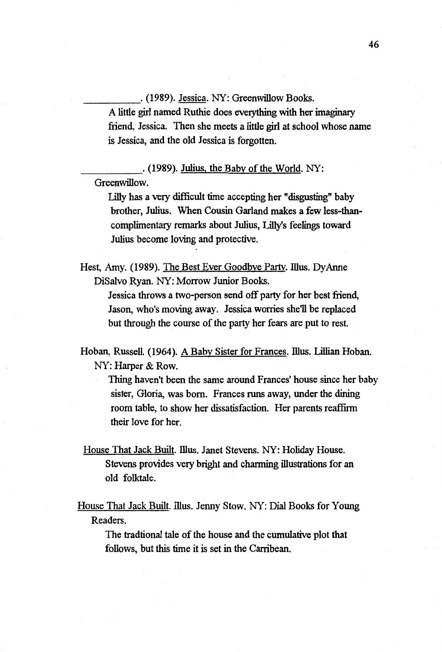\_\_\_\_\_ . (1989). Jessica. NY: Greenwillow Books.

A little girl named Ruthie does everything with her imaginary friend, Jessica. Then she meets a little girl at school whose name is Jessica, and the old Jessica is forgotten.

\_\_\_\_\_ . (1989). Julius, the Baby of the World. NY: Greenwillow.

Lilly has a very difficult time accepting her "disgusting" baby brother, Julius. When Cousin Garland makes a few less-thancomplimentacy remarks about Julius, Lilly's feelings toward Julius become loving and protective.

Hest, Amy. (1989). The Best Ever Goodbye Party. Illus. Dy Anne Disalvo Ryan. NY: Morrow Junior Books.

> Jessica throws a two-person send off party for her best friend, Jason, who's moving away. Jessica worries she'll be replaced but through the course of the party her fears are put to rest.

Hoban, Russell. (1964). A Baby Sister for Frances. Illus. Lillian Hoban. NY: Harper & Row.

Thing haven't been the same around Frances' house since her baby sister, Gloria, was born. Frances runs away, under the dining room table, to show her dissatisfaction. Her parents reaffirm their love for her.

House That Jack Built. Illus. Janet Stevens. NY: Holiday House. Stevens provides very bright and channing illustrations for an old folktale.

House That Jack Built. Illus. Jenny Stow. NY: Dial Books for Young Readers.

The tradtional tale of the house and the cumulative plot that follows, but this time it is set in the Carribean.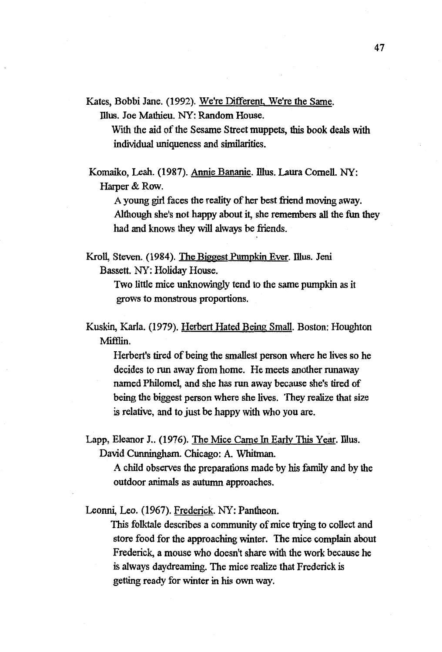Kates, Bobbi Jane. (1992). We're Different, We're the Same.

Illus. Joe Mathieu. NY: Random House.

With the aid of the Sesame Street muppets, this book deals with individual uniqueness and similarities.

Komaiko, Leah. (1987). Annie Bananie. Illus. Laura Cornell. NY: Harper & Row.

A young girl faces the reality of her best friend moving away. Although she's not happy about it, she remembers all the fun they had and knows they will always be friends.

Kroll, Steven. (1984). The Biggest Pumpkin Ever. Illus. Jeni Bassett. NY: Holiday House.

> Two little mice unknowingly tend to the same pumpkin as it grows to monstrous proportions.

Kuskin, Karla. (1979). Herbert Hated Being Small. Boston: Houghton Mifflin.

Herbert's tired of being the smallest person where he lives so he decides to run away from home. He meets another runaway named Philomel, and she has run away because she's tired of being the biggest person where she lives. They realize that size is relative, and to just be happy with who you are.

Lapp, Eleanor J.. (1976). The Mice Came In Early This Year. Illus. David Cunningham. Chicago: A. Whitman.

> A child observes the preparations made by his family and by the outdoor animals as autumn approaches.

Leonni, Leo. (1967). Frederick. NY: Pantheon.

This folktale describes a community of mice trying to collect and store food for the approaching winter. The mice complain about Frederick, a mouse who doesn't share with the work because he is always daydreaming. The mice realize that Frederick is getting ready for winter in his own way.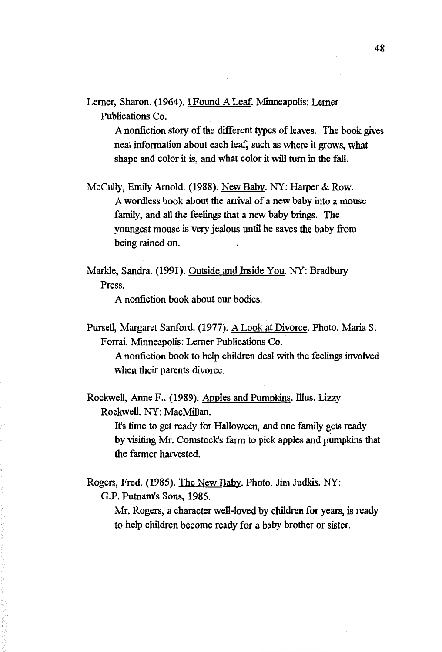Lerner, Sharon. (1964). I Found A Leaf. Minneapolis: Lerner Publications Co.

> A nonfiction story of the different types of leaves. The book gives neat information about each leaf, such as where it grows, what shape and color it is, and what color it will tum in the fall.

Mccully, Emily Arnold. (1988). New Baby. NY: Harper & Row. A wordless book about the arrival of a new baby into a mouse family, and all the feelings that a new baby brings. The youngest mouse is very jealous until he saves the baby from being rained on.

Markle, Sandra. (1991). Outside and Inside You. NY: Bradbury Press.

A nonfiction book about our bodies.

Pursell, Margaret Sanford. (1977). A Look at Divorce. Photo. Maria S. Forrai. Minneapolis: Lerner Publications Co.

A nonfiction book to help children deal with the feelings involved when their parents divorce.

Rockwell, Anne F., (1989). Apples and Pumpkins. Illus. Lizzy Rockwell. NY: MacMillan.

> It's time to get ready for Halloween, and one family gets ready by visiting Mr. Comstock's farm to pick apples and pumpkins that the farmer harvested.

Rogers, Fred. (1985). The New Baby. Photo. Jim Judkis. NY: G.P. Putnam's Sons, 1985.

> Mr. Rogers, a character well-loved by children for years, is ready to help children become ready for a baby brother or sister.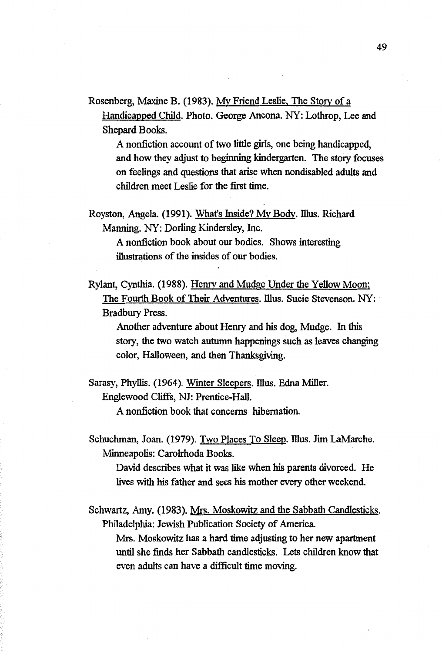Rosenberg, Maxine B. (1983). My Friend Leslie. The *Story* of a Handicapped Child. Photo. George Ancona. NY: Lothrop, Lee and Shepard Books.

A nonfiction account of two little girls, one being handicapped, and how they adjust to beginning kindergarten. The *story* focuses on feelings and questions that arise when nondisabled adults and children meet Leslie for the first time.

Royston, Angela. (1991). What's Inside? My Body. Illus. Richard. Manning. NY: Darling Kindersley, Inc.

> A nonfiction book about our bodies. Shows interesting illustrations of the insides of our bodies.

Rylant, Cynthia. (1988). Henry and Mudge Under the Yellow Moon; The Fourth Book of Their Adventures. Illus. Sucie Stevenson. NY: Bradbury Press.

Another adventure about Henry and his dog, Mudge. In this *story,* the two watch autumn happenings such as leaves changing color, Halloween, and then Thanksgiving.

Sarasy, Phyllis. (1964). Winter Sleepers. Illus. Edna Miller. Englewood Cliffs, NJ: Prentice-Hall.

A nonfiction book that concerns hibernation.

Schuchman, Joan. (1979). Two Places To Sleep. illus. Jim LaMarche. Minneapolis: Carolrhoda Books.

David describes what it was like when his parents divorced. He lives with his father and sees his mother every other weekend.

Schwartz, Amy. (1983). Mrs. Moskowitz and the Sabbath Candlesticks. Philadelphia: Jewish Publication Society of America.

Mrs. Moskowitz has a hard time adjusting to her new apartment until she finds her Sabbath candlesticks. Lets children know that even adults can have a difficult time moving.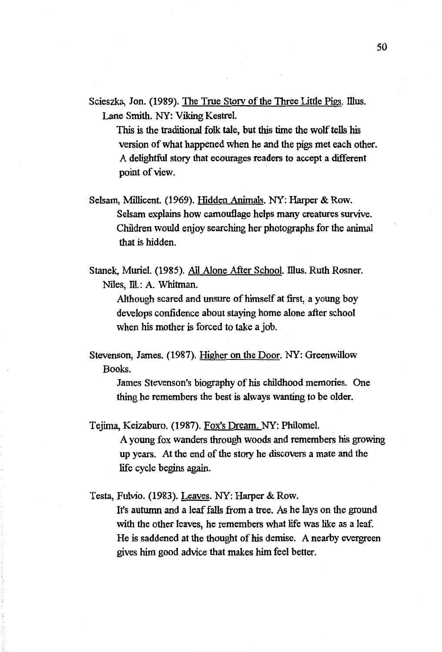Scieszka, Jon. (1989). The True Story of the Three Little Pigs. Illus. Lane Smith. NY: Viking Kestrel.

This is the traditional folk tale, but this time the wolf tells his version of what happened when he and the pigs met each other. A delightful *story* that ecourages readers to accept a different point of view.

Selsam, Millicent. (1969). Hidden Animals. NY: Harper & Row. Selsam explains how camouflage helps many creatures survive. Children would enjoy searching her photographs for the animal that is hidden.

Stanek, Muriel. (1985). All Alone After School. Illus. Ruth Rosner. Niles, Ill.: A. Whitman.

Although scared and unsure of himself at first, a young boy develops confidence about staying home alone after school when his mother is forced to take a job.

Stevenson, James. (1987). Higher on the Door. NY: Greenwillow Books.

> James Stevenson's biography of his childhood memories. One thing he remembers the best is always wanting to be older.

Tejima, Keizaburo. (1987). Fox's Dream. NY: Philomel.

A young fox wanders through woods and remembers his growing up years. At the end of the *story* he discovers a mate and the life cycle begins again.

Testa, Fulvio. (1983). Leaves. NY: Harper & Row.

It's autumn and a leaf falls from a tree. As he lays on the ground with the other leaves, he remembers what life was like as a leaf. He is saddened at the thought of his demise. A nearby evergreen gives him good advice that makes him feel better.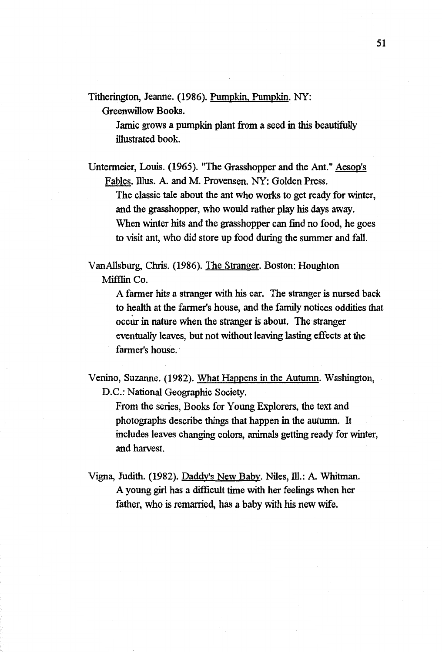Titherington, Jeanne. (1986). Pumpkin. Pumpkin. NY:

Greenwillow Books.

Jamie grows a pumpkin plant from a seed in this beautifully illustrated book.

Untermeier, Louis. (1965). "The Grasshopper and the Ant." Aesop's Fables. illus. A. and M. Provensen. NY: Golden Press.

The classic tale about the ant who works to get ready for winter, and the grasshopper, who would rather play his days away. When winter hits and the grasshopper can find no food, he goes to visit ant, who did store up food during the summer and fall.

VanAllsburg, Chris. (1986). The Stranger. Boston: Houghton Mifflin Co.

> A farmer hits a stranger with his car. The stranger is nursed back to health at the farmer's house, and the family notices oddities that occur in nature when the stranger is about. The stranger eventually leaves, but not without leaving lasting effects at the farmer's house.

Venino, Suzanne. (1982). What Happens in the Autumn. Washington, D.C.: National Geographic Society.

From the series, Books for Young Explorers, the text and photographs describe things that happen in the autumn. It includes leaves changing colors, animals getting ready for winter, and harvest.

Vigna, Judith. (1982). Daddy's New Baby. Niles, Ill.: A. Whitman. A young girl has a difficult time with her feelings when her father, who is remarried, has a baby with his new wife.